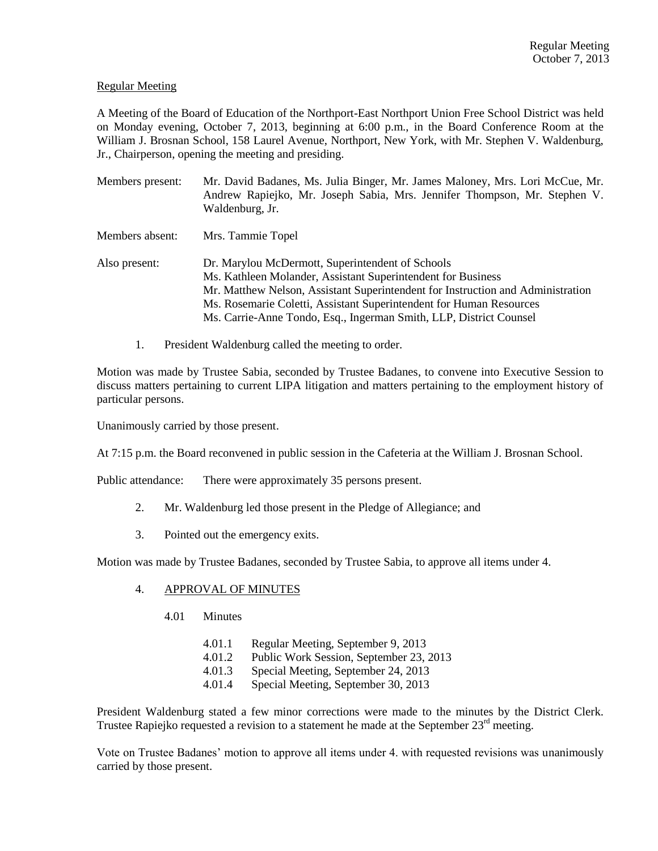# Regular Meeting

A Meeting of the Board of Education of the Northport-East Northport Union Free School District was held on Monday evening, October 7, 2013, beginning at 6:00 p.m., in the Board Conference Room at the William J. Brosnan School, 158 Laurel Avenue, Northport, New York, with Mr. Stephen V. Waldenburg, Jr., Chairperson, opening the meeting and presiding.

| Members present: | Mr. David Badanes, Ms. Julia Binger, Mr. James Maloney, Mrs. Lori McCue, Mr.<br>Andrew Rapiejko, Mr. Joseph Sabia, Mrs. Jennifer Thompson, Mr. Stephen V.<br>Waldenburg, Jr.                                                                                                                                                                     |  |  |
|------------------|--------------------------------------------------------------------------------------------------------------------------------------------------------------------------------------------------------------------------------------------------------------------------------------------------------------------------------------------------|--|--|
| Members absent:  | Mrs. Tammie Topel                                                                                                                                                                                                                                                                                                                                |  |  |
| Also present:    | Dr. Marylou McDermott, Superintendent of Schools<br>Ms. Kathleen Molander, Assistant Superintendent for Business<br>Mr. Matthew Nelson, Assistant Superintendent for Instruction and Administration<br>Ms. Rosemarie Coletti, Assistant Superintendent for Human Resources<br>Ms. Carrie-Anne Tondo, Esq., Ingerman Smith, LLP, District Counsel |  |  |

1. President Waldenburg called the meeting to order.

Motion was made by Trustee Sabia, seconded by Trustee Badanes, to convene into Executive Session to discuss matters pertaining to current LIPA litigation and matters pertaining to the employment history of particular persons.

Unanimously carried by those present.

At 7:15 p.m. the Board reconvened in public session in the Cafeteria at the William J. Brosnan School.

Public attendance: There were approximately 35 persons present.

- 2. Mr. Waldenburg led those present in the Pledge of Allegiance; and
- 3. Pointed out the emergency exits.

Motion was made by Trustee Badanes, seconded by Trustee Sabia, to approve all items under 4.

## 4. APPROVAL OF MINUTES

- 4.01 Minutes
	- 4.01.1 Regular Meeting, September 9, 2013
	- 4.01.2 Public Work Session, September 23, 2013
	- 4.01.3 Special Meeting, September 24, 2013
	- 4.01.4 Special Meeting, September 30, 2013

President Waldenburg stated a few minor corrections were made to the minutes by the District Clerk. Trustee Rapiejko requested a revision to a statement he made at the September  $23<sup>rd</sup>$  meeting.

Vote on Trustee Badanes' motion to approve all items under 4. with requested revisions was unanimously carried by those present.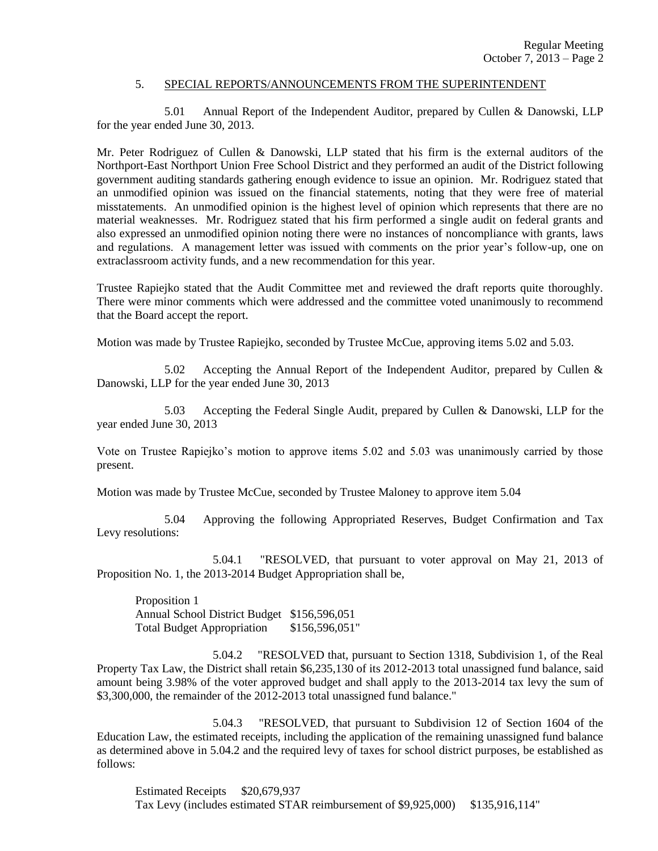#### 5. SPECIAL REPORTS/ANNOUNCEMENTS FROM THE SUPERINTENDENT

5.01 Annual Report of the Independent Auditor, prepared by Cullen & Danowski, LLP for the year ended June 30, 2013.

Mr. Peter Rodriguez of Cullen & Danowski, LLP stated that his firm is the external auditors of the Northport-East Northport Union Free School District and they performed an audit of the District following government auditing standards gathering enough evidence to issue an opinion. Mr. Rodriguez stated that an unmodified opinion was issued on the financial statements, noting that they were free of material misstatements. An unmodified opinion is the highest level of opinion which represents that there are no material weaknesses. Mr. Rodriguez stated that his firm performed a single audit on federal grants and also expressed an unmodified opinion noting there were no instances of noncompliance with grants, laws and regulations. A management letter was issued with comments on the prior year's follow-up, one on extraclassroom activity funds, and a new recommendation for this year.

Trustee Rapiejko stated that the Audit Committee met and reviewed the draft reports quite thoroughly. There were minor comments which were addressed and the committee voted unanimously to recommend that the Board accept the report.

Motion was made by Trustee Rapiejko, seconded by Trustee McCue, approving items 5.02 and 5.03.

5.02 Accepting the Annual Report of the Independent Auditor, prepared by Cullen & Danowski, LLP for the year ended June 30, 2013

5.03 Accepting the Federal Single Audit, prepared by Cullen & Danowski, LLP for the year ended June 30, 2013

Vote on Trustee Rapiejko's motion to approve items 5.02 and 5.03 was unanimously carried by those present.

Motion was made by Trustee McCue, seconded by Trustee Maloney to approve item 5.04

5.04 Approving the following Appropriated Reserves, Budget Confirmation and Tax Levy resolutions:

5.04.1 "RESOLVED, that pursuant to voter approval on May 21, 2013 of Proposition No. 1, the 2013-2014 Budget Appropriation shall be,

Proposition 1 Annual School District Budget \$156,596,051 Total Budget Appropriation \$156,596,051"

5.04.2 "RESOLVED that, pursuant to Section 1318, Subdivision 1, of the Real Property Tax Law, the District shall retain \$6,235,130 of its 2012-2013 total unassigned fund balance, said amount being 3.98% of the voter approved budget and shall apply to the 2013-2014 tax levy the sum of \$3,300,000, the remainder of the 2012-2013 total unassigned fund balance."

5.04.3 "RESOLVED, that pursuant to Subdivision 12 of Section 1604 of the Education Law, the estimated receipts, including the application of the remaining unassigned fund balance as determined above in 5.04.2 and the required levy of taxes for school district purposes, be established as follows:

Estimated Receipts \$20,679,937 Tax Levy (includes estimated STAR reimbursement of \$9,925,000) \$135,916,114"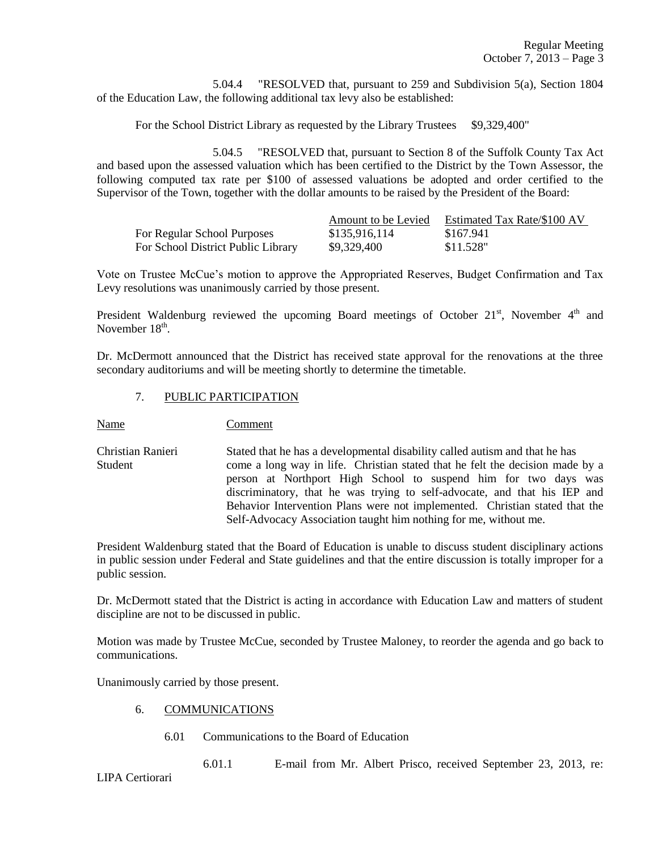5.04.4 "RESOLVED that, pursuant to 259 and Subdivision 5(a), Section 1804 of the Education Law, the following additional tax levy also be established:

For the School District Library as requested by the Library Trustees \$9,329,400"

5.04.5 "RESOLVED that, pursuant to Section 8 of the Suffolk County Tax Act and based upon the assessed valuation which has been certified to the District by the Town Assessor, the following computed tax rate per \$100 of assessed valuations be adopted and order certified to the Supervisor of the Town, together with the dollar amounts to be raised by the President of the Board:

|                                    | Amount to be Levied | Estimated Tax Rate/\$100 AV |
|------------------------------------|---------------------|-----------------------------|
| For Regular School Purposes        | \$135,916,114       | \$167.941                   |
| For School District Public Library | \$9,329,400         | \$11.528"                   |

Vote on Trustee McCue's motion to approve the Appropriated Reserves, Budget Confirmation and Tax Levy resolutions was unanimously carried by those present.

President Waldenburg reviewed the upcoming Board meetings of October 21<sup>st</sup>, November 4<sup>th</sup> and November  $18<sup>th</sup>$ .

Dr. McDermott announced that the District has received state approval for the renovations at the three secondary auditoriums and will be meeting shortly to determine the timetable.

## 7. PUBLIC PARTICIPATION

Name Comment

Christian Ranieri Stated that he has a developmental disability called autism and that he has Student come a long way in life. Christian stated that he felt the decision made by a person at Northport High School to suspend him for two days was discriminatory, that he was trying to self-advocate, and that his IEP and Behavior Intervention Plans were not implemented. Christian stated that the Self-Advocacy Association taught him nothing for me, without me.

President Waldenburg stated that the Board of Education is unable to discuss student disciplinary actions in public session under Federal and State guidelines and that the entire discussion is totally improper for a public session.

Dr. McDermott stated that the District is acting in accordance with Education Law and matters of student discipline are not to be discussed in public.

Motion was made by Trustee McCue, seconded by Trustee Maloney, to reorder the agenda and go back to communications.

Unanimously carried by those present.

- 6. COMMUNICATIONS
	- 6.01 Communications to the Board of Education

6.01.1 E-mail from Mr. Albert Prisco, received September 23, 2013, re:

LIPA Certiorari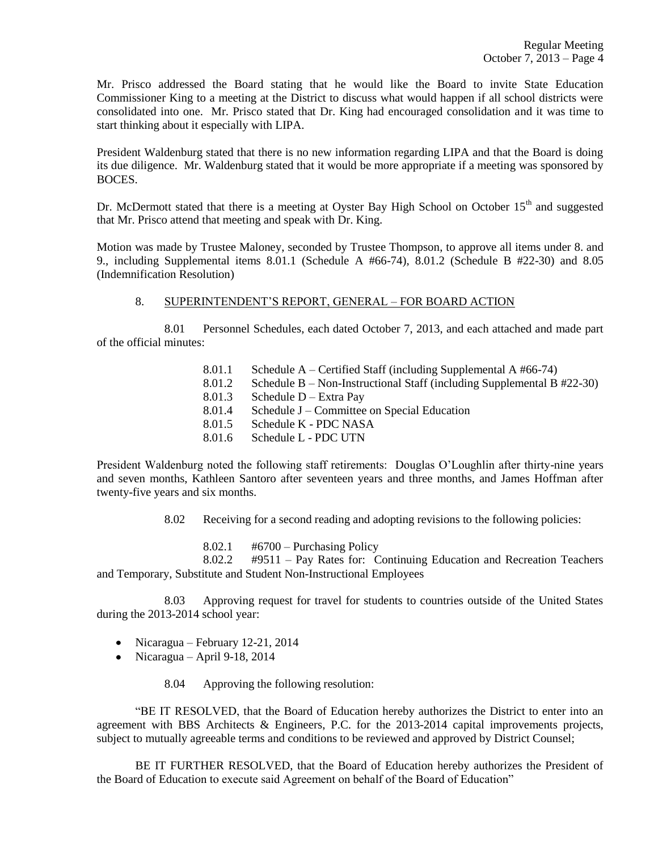Mr. Prisco addressed the Board stating that he would like the Board to invite State Education Commissioner King to a meeting at the District to discuss what would happen if all school districts were consolidated into one. Mr. Prisco stated that Dr. King had encouraged consolidation and it was time to start thinking about it especially with LIPA.

President Waldenburg stated that there is no new information regarding LIPA and that the Board is doing its due diligence. Mr. Waldenburg stated that it would be more appropriate if a meeting was sponsored by BOCES.

Dr. McDermott stated that there is a meeting at Oyster Bay High School on October  $15<sup>th</sup>$  and suggested that Mr. Prisco attend that meeting and speak with Dr. King.

Motion was made by Trustee Maloney, seconded by Trustee Thompson, to approve all items under 8. and 9., including Supplemental items 8.01.1 (Schedule A #66-74), 8.01.2 (Schedule B #22-30) and 8.05 (Indemnification Resolution)

## 8. SUPERINTENDENT'S REPORT, GENERAL – FOR BOARD ACTION

8.01 Personnel Schedules, each dated October 7, 2013, and each attached and made part of the official minutes:

- 8.01.1 Schedule A Certified Staff (including Supplemental A #66-74)
- 8.01.2 Schedule B Non-Instructional Staff (including Supplemental B #22-30)
- 8.01.3 Schedule D Extra Pay
- 8.01.4 Schedule J Committee on Special Education
- 8.01.5 Schedule K PDC NASA
- 8.01.6 Schedule L PDC UTN

President Waldenburg noted the following staff retirements: Douglas O'Loughlin after thirty-nine years and seven months, Kathleen Santoro after seventeen years and three months, and James Hoffman after twenty-five years and six months.

8.02 Receiving for a second reading and adopting revisions to the following policies:

 $8.02.1$  #6700 – Purchasing Policy

8.02.2 #9511 – Pay Rates for: Continuing Education and Recreation Teachers and Temporary, Substitute and Student Non-Instructional Employees

8.03 Approving request for travel for students to countries outside of the United States during the 2013-2014 school year:

- Nicaragua February 12-21, 2014
- Nicaragua April 9-18, 2014

8.04 Approving the following resolution:

"BE IT RESOLVED, that the Board of Education hereby authorizes the District to enter into an agreement with BBS Architects & Engineers, P.C. for the 2013-2014 capital improvements projects, subject to mutually agreeable terms and conditions to be reviewed and approved by District Counsel;

BE IT FURTHER RESOLVED, that the Board of Education hereby authorizes the President of the Board of Education to execute said Agreement on behalf of the Board of Education"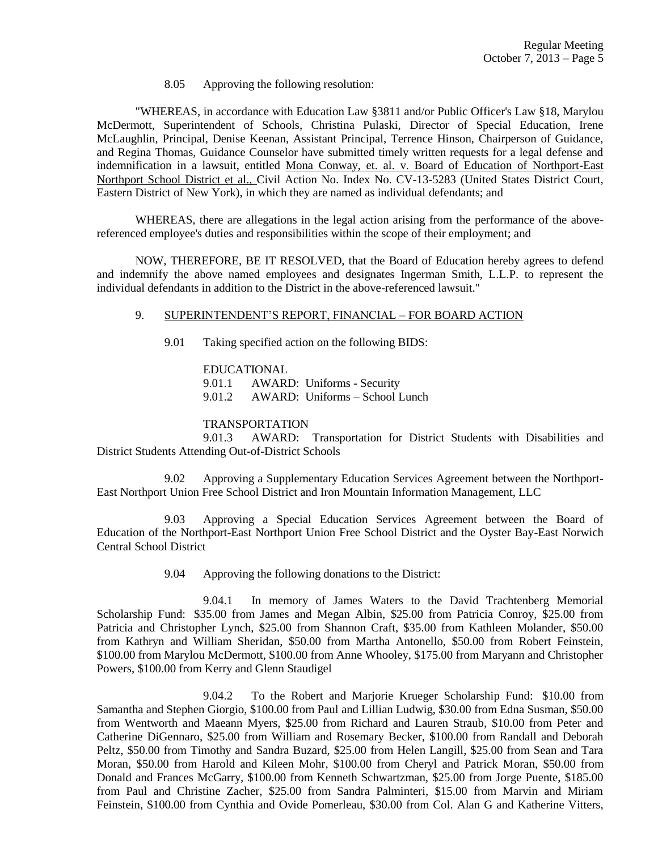8.05 Approving the following resolution:

"WHEREAS, in accordance with Education Law §3811 and/or Public Officer's Law §18, Marylou McDermott, Superintendent of Schools, Christina Pulaski, Director of Special Education, Irene McLaughlin, Principal, Denise Keenan, Assistant Principal, Terrence Hinson, Chairperson of Guidance, and Regina Thomas, Guidance Counselor have submitted timely written requests for a legal defense and indemnification in a lawsuit, entitled Mona Conway, et. al. v. Board of Education of Northport-East Northport School District et al., Civil Action No. Index No. CV-13-5283 (United States District Court, Eastern District of New York), in which they are named as individual defendants; and

WHEREAS, there are allegations in the legal action arising from the performance of the abovereferenced employee's duties and responsibilities within the scope of their employment; and

NOW, THEREFORE, BE IT RESOLVED, that the Board of Education hereby agrees to defend and indemnify the above named employees and designates Ingerman Smith, L.L.P. to represent the individual defendants in addition to the District in the above-referenced lawsuit."

### 9. SUPERINTENDENT'S REPORT, FINANCIAL – FOR BOARD ACTION

9.01 Taking specified action on the following BIDS:

EDUCATIONAL 9.01.1 AWARD: Uniforms - Security 9.01.2 AWARD: Uniforms – School Lunch

### TRANSPORTATION

9.01.3 AWARD: Transportation for District Students with Disabilities and District Students Attending Out-of-District Schools

9.02 Approving a Supplementary Education Services Agreement between the Northport-East Northport Union Free School District and Iron Mountain Information Management, LLC

9.03 Approving a Special Education Services Agreement between the Board of Education of the Northport-East Northport Union Free School District and the Oyster Bay-East Norwich Central School District

9.04 Approving the following donations to the District:

9.04.1 In memory of James Waters to the David Trachtenberg Memorial Scholarship Fund: \$35.00 from James and Megan Albin, \$25.00 from Patricia Conroy, \$25.00 from Patricia and Christopher Lynch, \$25.00 from Shannon Craft, \$35.00 from Kathleen Molander, \$50.00 from Kathryn and William Sheridan, \$50.00 from Martha Antonello, \$50.00 from Robert Feinstein, \$100.00 from Marylou McDermott, \$100.00 from Anne Whooley, \$175.00 from Maryann and Christopher Powers, \$100.00 from Kerry and Glenn Staudigel

9.04.2 To the Robert and Marjorie Krueger Scholarship Fund: \$10.00 from Samantha and Stephen Giorgio, \$100.00 from Paul and Lillian Ludwig, \$30.00 from Edna Susman, \$50.00 from Wentworth and Maeann Myers, \$25.00 from Richard and Lauren Straub, \$10.00 from Peter and Catherine DiGennaro, \$25.00 from William and Rosemary Becker, \$100.00 from Randall and Deborah Peltz, \$50.00 from Timothy and Sandra Buzard, \$25.00 from Helen Langill, \$25.00 from Sean and Tara Moran, \$50.00 from Harold and Kileen Mohr, \$100.00 from Cheryl and Patrick Moran, \$50.00 from Donald and Frances McGarry, \$100.00 from Kenneth Schwartzman, \$25.00 from Jorge Puente, \$185.00 from Paul and Christine Zacher, \$25.00 from Sandra Palminteri, \$15.00 from Marvin and Miriam Feinstein, \$100.00 from Cynthia and Ovide Pomerleau, \$30.00 from Col. Alan G and Katherine Vitters,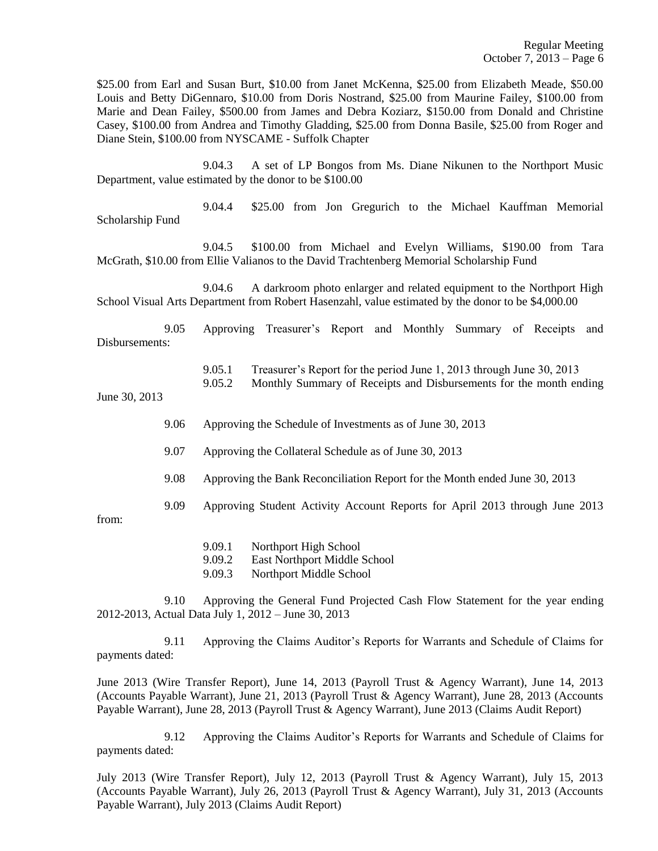\$25.00 from Earl and Susan Burt, \$10.00 from Janet McKenna, \$25.00 from Elizabeth Meade, \$50.00 Louis and Betty DiGennaro, \$10.00 from Doris Nostrand, \$25.00 from Maurine Failey, \$100.00 from Marie and Dean Failey, \$500.00 from James and Debra Koziarz, \$150.00 from Donald and Christine Casey, \$100.00 from Andrea and Timothy Gladding, \$25.00 from Donna Basile, \$25.00 from Roger and Diane Stein, \$100.00 from NYSCAME - Suffolk Chapter

9.04.3 A set of LP Bongos from Ms. Diane Nikunen to the Northport Music Department, value estimated by the donor to be \$100.00

9.04.4 \$25.00 from Jon Gregurich to the Michael Kauffman Memorial Scholarship Fund

9.04.5 \$100.00 from Michael and Evelyn Williams, \$190.00 from Tara McGrath, \$10.00 from Ellie Valianos to the David Trachtenberg Memorial Scholarship Fund

9.04.6 A darkroom photo enlarger and related equipment to the Northport High School Visual Arts Department from Robert Hasenzahl, value estimated by the donor to be \$4,000.00

9.05 Approving Treasurer's Report and Monthly Summary of Receipts and Disbursements:

9.05.1 Treasurer's Report for the period June 1, 2013 through June 30, 2013

9.05.2 Monthly Summary of Receipts and Disbursements for the month ending

June 30, 2013

- 9.06 Approving the Schedule of Investments as of June 30, 2013
- 9.07 Approving the Collateral Schedule as of June 30, 2013
- 9.08 Approving the Bank Reconciliation Report for the Month ended June 30, 2013
- 9.09 Approving Student Activity Account Reports for April 2013 through June 2013

from:

- 9.09.1 Northport High School
- 9.09.2 East Northport Middle School
- 9.09.3 Northport Middle School

9.10 Approving the General Fund Projected Cash Flow Statement for the year ending 2012-2013, Actual Data July 1, 2012 – June 30, 2013

9.11 Approving the Claims Auditor's Reports for Warrants and Schedule of Claims for payments dated:

June 2013 (Wire Transfer Report), June 14, 2013 (Payroll Trust & Agency Warrant), June 14, 2013 (Accounts Payable Warrant), June 21, 2013 (Payroll Trust & Agency Warrant), June 28, 2013 (Accounts Payable Warrant), June 28, 2013 (Payroll Trust & Agency Warrant), June 2013 (Claims Audit Report)

9.12 Approving the Claims Auditor's Reports for Warrants and Schedule of Claims for payments dated:

July 2013 (Wire Transfer Report), July 12, 2013 (Payroll Trust & Agency Warrant), July 15, 2013 (Accounts Payable Warrant), July 26, 2013 (Payroll Trust & Agency Warrant), July 31, 2013 (Accounts Payable Warrant), July 2013 (Claims Audit Report)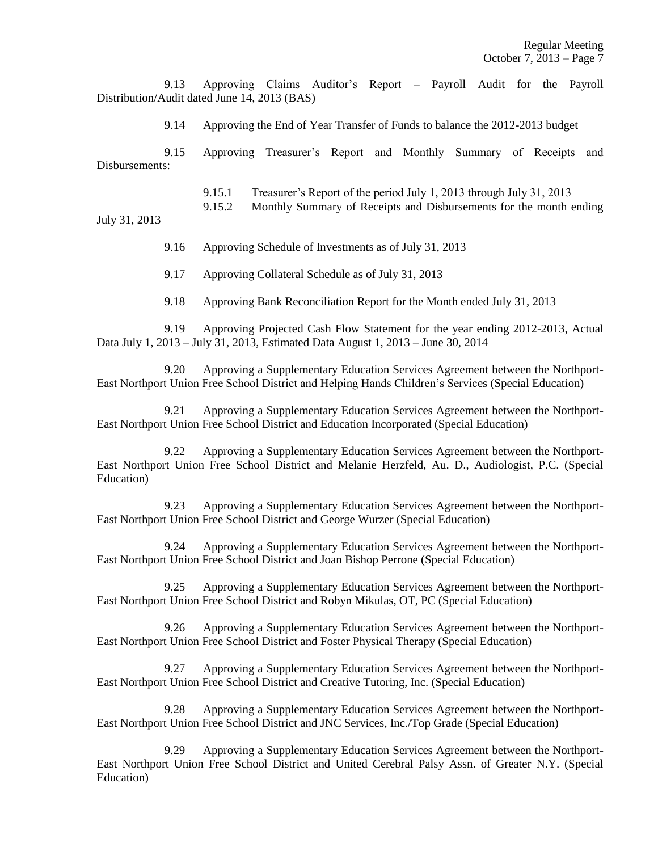9.13 Approving Claims Auditor's Report – Payroll Audit for the Payroll Distribution/Audit dated June 14, 2013 (BAS)

9.14 Approving the End of Year Transfer of Funds to balance the 2012-2013 budget

9.15 Approving Treasurer's Report and Monthly Summary of Receipts and Disbursements:

9.15.1 Treasurer's Report of the period July 1, 2013 through July 31, 2013

9.15.2 Monthly Summary of Receipts and Disbursements for the month ending

July 31, 2013

9.16 Approving Schedule of Investments as of July 31, 2013

9.17 Approving Collateral Schedule as of July 31, 2013

9.18 Approving Bank Reconciliation Report for the Month ended July 31, 2013

9.19 Approving Projected Cash Flow Statement for the year ending 2012-2013, Actual Data July 1, 2013 – July 31, 2013, Estimated Data August 1, 2013 – June 30, 2014

9.20 Approving a Supplementary Education Services Agreement between the Northport-East Northport Union Free School District and Helping Hands Children's Services (Special Education)

9.21 Approving a Supplementary Education Services Agreement between the Northport-East Northport Union Free School District and Education Incorporated (Special Education)

9.22 Approving a Supplementary Education Services Agreement between the Northport-East Northport Union Free School District and Melanie Herzfeld, Au. D., Audiologist, P.C. (Special Education)

9.23 Approving a Supplementary Education Services Agreement between the Northport-East Northport Union Free School District and George Wurzer (Special Education)

9.24 Approving a Supplementary Education Services Agreement between the Northport-East Northport Union Free School District and Joan Bishop Perrone (Special Education)

9.25 Approving a Supplementary Education Services Agreement between the Northport-East Northport Union Free School District and Robyn Mikulas, OT, PC (Special Education)

9.26 Approving a Supplementary Education Services Agreement between the Northport-East Northport Union Free School District and Foster Physical Therapy (Special Education)

9.27 Approving a Supplementary Education Services Agreement between the Northport-East Northport Union Free School District and Creative Tutoring, Inc. (Special Education)

9.28 Approving a Supplementary Education Services Agreement between the Northport-East Northport Union Free School District and JNC Services, Inc./Top Grade (Special Education)

9.29 Approving a Supplementary Education Services Agreement between the Northport-East Northport Union Free School District and United Cerebral Palsy Assn. of Greater N.Y. (Special Education)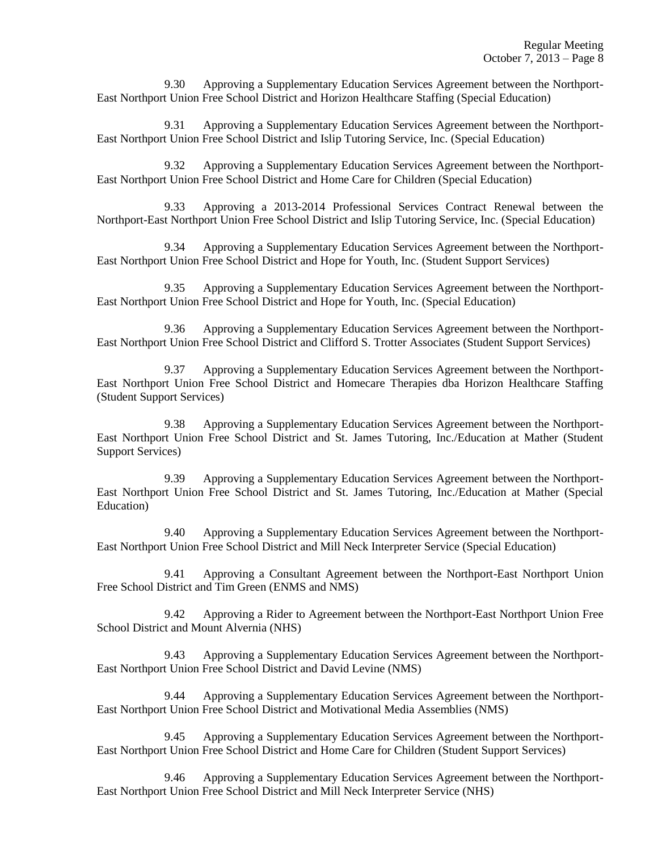9.30 Approving a Supplementary Education Services Agreement between the Northport-East Northport Union Free School District and Horizon Healthcare Staffing (Special Education)

9.31 Approving a Supplementary Education Services Agreement between the Northport-East Northport Union Free School District and Islip Tutoring Service, Inc. (Special Education)

9.32 Approving a Supplementary Education Services Agreement between the Northport-East Northport Union Free School District and Home Care for Children (Special Education)

9.33 Approving a 2013-2014 Professional Services Contract Renewal between the Northport-East Northport Union Free School District and Islip Tutoring Service, Inc. (Special Education)

9.34 Approving a Supplementary Education Services Agreement between the Northport-East Northport Union Free School District and Hope for Youth, Inc. (Student Support Services)

9.35 Approving a Supplementary Education Services Agreement between the Northport-East Northport Union Free School District and Hope for Youth, Inc. (Special Education)

9.36 Approving a Supplementary Education Services Agreement between the Northport-East Northport Union Free School District and Clifford S. Trotter Associates (Student Support Services)

9.37 Approving a Supplementary Education Services Agreement between the Northport-East Northport Union Free School District and Homecare Therapies dba Horizon Healthcare Staffing (Student Support Services)

9.38 Approving a Supplementary Education Services Agreement between the Northport-East Northport Union Free School District and St. James Tutoring, Inc./Education at Mather (Student Support Services)

9.39 Approving a Supplementary Education Services Agreement between the Northport-East Northport Union Free School District and St. James Tutoring, Inc./Education at Mather (Special Education)

9.40 Approving a Supplementary Education Services Agreement between the Northport-East Northport Union Free School District and Mill Neck Interpreter Service (Special Education)

9.41 Approving a Consultant Agreement between the Northport-East Northport Union Free School District and Tim Green (ENMS and NMS)

9.42 Approving a Rider to Agreement between the Northport-East Northport Union Free School District and Mount Alvernia (NHS)

9.43 Approving a Supplementary Education Services Agreement between the Northport-East Northport Union Free School District and David Levine (NMS)

9.44 Approving a Supplementary Education Services Agreement between the Northport-East Northport Union Free School District and Motivational Media Assemblies (NMS)

9.45 Approving a Supplementary Education Services Agreement between the Northport-East Northport Union Free School District and Home Care for Children (Student Support Services)

9.46 Approving a Supplementary Education Services Agreement between the Northport-East Northport Union Free School District and Mill Neck Interpreter Service (NHS)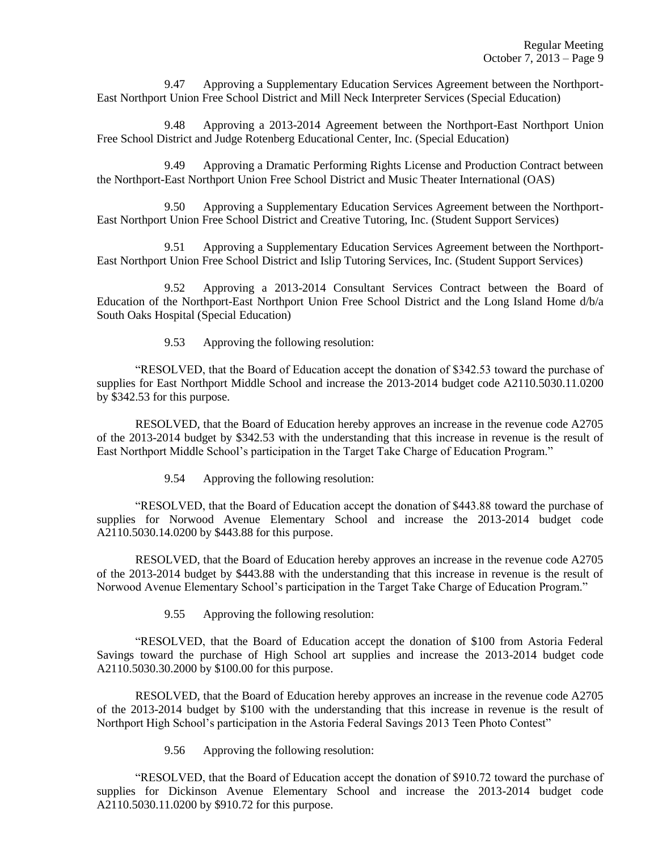9.47 Approving a Supplementary Education Services Agreement between the Northport-East Northport Union Free School District and Mill Neck Interpreter Services (Special Education)

9.48 Approving a 2013-2014 Agreement between the Northport-East Northport Union Free School District and Judge Rotenberg Educational Center, Inc. (Special Education)

9.49 Approving a Dramatic Performing Rights License and Production Contract between the Northport-East Northport Union Free School District and Music Theater International (OAS)

9.50 Approving a Supplementary Education Services Agreement between the Northport-East Northport Union Free School District and Creative Tutoring, Inc. (Student Support Services)

9.51 Approving a Supplementary Education Services Agreement between the Northport-East Northport Union Free School District and Islip Tutoring Services, Inc. (Student Support Services)

9.52 Approving a 2013-2014 Consultant Services Contract between the Board of Education of the Northport-East Northport Union Free School District and the Long Island Home d/b/a South Oaks Hospital (Special Education)

9.53 Approving the following resolution:

"RESOLVED, that the Board of Education accept the donation of \$342.53 toward the purchase of supplies for East Northport Middle School and increase the 2013-2014 budget code A2110.5030.11.0200 by \$342.53 for this purpose.

RESOLVED, that the Board of Education hereby approves an increase in the revenue code A2705 of the 2013-2014 budget by \$342.53 with the understanding that this increase in revenue is the result of East Northport Middle School's participation in the Target Take Charge of Education Program."

9.54 Approving the following resolution:

"RESOLVED, that the Board of Education accept the donation of \$443.88 toward the purchase of supplies for Norwood Avenue Elementary School and increase the 2013-2014 budget code A2110.5030.14.0200 by \$443.88 for this purpose.

RESOLVED, that the Board of Education hereby approves an increase in the revenue code A2705 of the 2013-2014 budget by \$443.88 with the understanding that this increase in revenue is the result of Norwood Avenue Elementary School's participation in the Target Take Charge of Education Program."

9.55 Approving the following resolution:

"RESOLVED, that the Board of Education accept the donation of \$100 from Astoria Federal Savings toward the purchase of High School art supplies and increase the 2013-2014 budget code A2110.5030.30.2000 by \$100.00 for this purpose.

RESOLVED, that the Board of Education hereby approves an increase in the revenue code A2705 of the 2013-2014 budget by \$100 with the understanding that this increase in revenue is the result of Northport High School's participation in the Astoria Federal Savings 2013 Teen Photo Contest"

9.56 Approving the following resolution:

"RESOLVED, that the Board of Education accept the donation of \$910.72 toward the purchase of supplies for Dickinson Avenue Elementary School and increase the 2013-2014 budget code A2110.5030.11.0200 by \$910.72 for this purpose.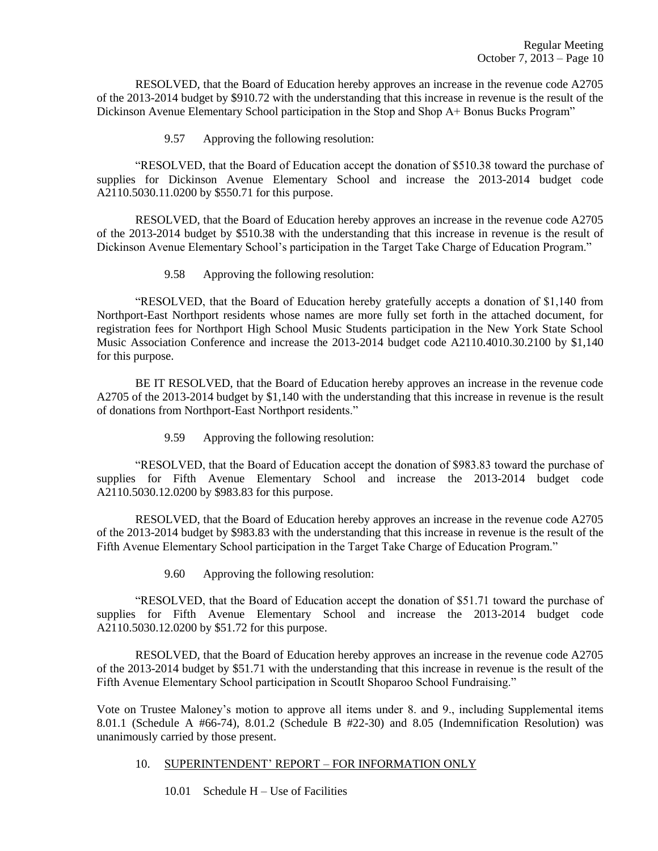RESOLVED, that the Board of Education hereby approves an increase in the revenue code A2705 of the 2013-2014 budget by \$910.72 with the understanding that this increase in revenue is the result of the Dickinson Avenue Elementary School participation in the Stop and Shop A+ Bonus Bucks Program"

9.57 Approving the following resolution:

"RESOLVED, that the Board of Education accept the donation of \$510.38 toward the purchase of supplies for Dickinson Avenue Elementary School and increase the 2013-2014 budget code A2110.5030.11.0200 by \$550.71 for this purpose.

RESOLVED, that the Board of Education hereby approves an increase in the revenue code A2705 of the 2013-2014 budget by \$510.38 with the understanding that this increase in revenue is the result of Dickinson Avenue Elementary School's participation in the Target Take Charge of Education Program."

9.58 Approving the following resolution:

"RESOLVED, that the Board of Education hereby gratefully accepts a donation of \$1,140 from Northport-East Northport residents whose names are more fully set forth in the attached document, for registration fees for Northport High School Music Students participation in the New York State School Music Association Conference and increase the 2013-2014 budget code A2110.4010.30.2100 by \$1,140 for this purpose.

BE IT RESOLVED, that the Board of Education hereby approves an increase in the revenue code A2705 of the 2013-2014 budget by \$1,140 with the understanding that this increase in revenue is the result of donations from Northport-East Northport residents."

9.59 Approving the following resolution:

"RESOLVED, that the Board of Education accept the donation of \$983.83 toward the purchase of supplies for Fifth Avenue Elementary School and increase the 2013-2014 budget code A2110.5030.12.0200 by \$983.83 for this purpose.

RESOLVED, that the Board of Education hereby approves an increase in the revenue code A2705 of the 2013-2014 budget by \$983.83 with the understanding that this increase in revenue is the result of the Fifth Avenue Elementary School participation in the Target Take Charge of Education Program."

9.60 Approving the following resolution:

"RESOLVED, that the Board of Education accept the donation of \$51.71 toward the purchase of supplies for Fifth Avenue Elementary School and increase the 2013-2014 budget code A2110.5030.12.0200 by \$51.72 for this purpose.

RESOLVED, that the Board of Education hereby approves an increase in the revenue code A2705 of the 2013-2014 budget by \$51.71 with the understanding that this increase in revenue is the result of the Fifth Avenue Elementary School participation in ScoutIt Shoparoo School Fundraising."

Vote on Trustee Maloney's motion to approve all items under 8. and 9., including Supplemental items 8.01.1 (Schedule A #66-74), 8.01.2 (Schedule B #22-30) and 8.05 (Indemnification Resolution) was unanimously carried by those present.

## 10. SUPERINTENDENT' REPORT – FOR INFORMATION ONLY

10.01 Schedule H – Use of Facilities